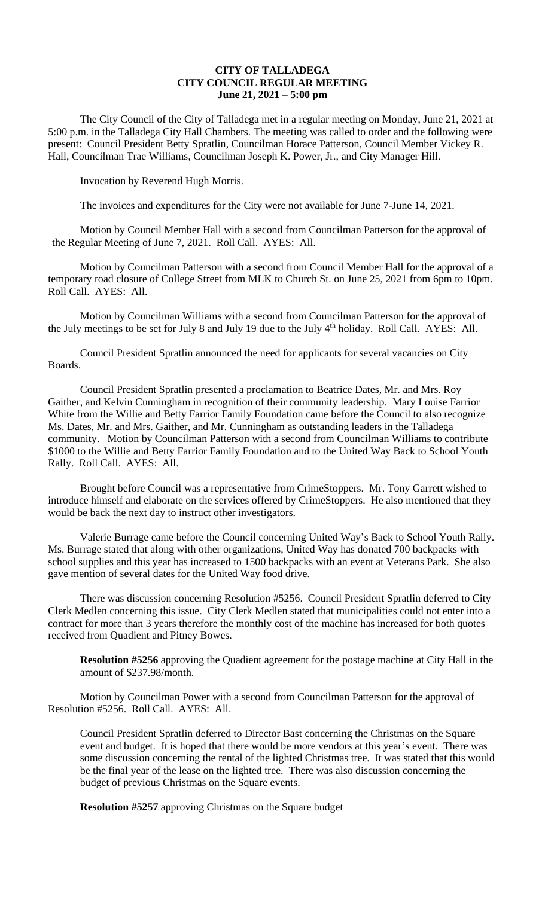## **CITY OF TALLADEGA CITY COUNCIL REGULAR MEETING June 21, 2021 – 5:00 pm**

The City Council of the City of Talladega met in a regular meeting on Monday, June 21, 2021 at 5:00 p.m. in the Talladega City Hall Chambers. The meeting was called to order and the following were present: Council President Betty Spratlin, Councilman Horace Patterson, Council Member Vickey R. Hall, Councilman Trae Williams, Councilman Joseph K. Power, Jr., and City Manager Hill.

Invocation by Reverend Hugh Morris.

The invoices and expenditures for the City were not available for June 7-June 14, 2021.

Motion by Council Member Hall with a second from Councilman Patterson for the approval of the Regular Meeting of June 7, 2021. Roll Call. AYES: All.

Motion by Councilman Patterson with a second from Council Member Hall for the approval of a temporary road closure of College Street from MLK to Church St. on June 25, 2021 from 6pm to 10pm. Roll Call. AYES: All.

Motion by Councilman Williams with a second from Councilman Patterson for the approval of the July meetings to be set for July 8 and July 19 due to the July 4<sup>th</sup> holiday. Roll Call. AYES: All.

Council President Spratlin announced the need for applicants for several vacancies on City Boards.

Council President Spratlin presented a proclamation to Beatrice Dates, Mr. and Mrs. Roy Gaither, and Kelvin Cunningham in recognition of their community leadership. Mary Louise Farrior White from the Willie and Betty Farrior Family Foundation came before the Council to also recognize Ms. Dates, Mr. and Mrs. Gaither, and Mr. Cunningham as outstanding leaders in the Talladega community. Motion by Councilman Patterson with a second from Councilman Williams to contribute \$1000 to the Willie and Betty Farrior Family Foundation and to the United Way Back to School Youth Rally. Roll Call. AYES: All.

Brought before Council was a representative from CrimeStoppers. Mr. Tony Garrett wished to introduce himself and elaborate on the services offered by CrimeStoppers. He also mentioned that they would be back the next day to instruct other investigators.

Valerie Burrage came before the Council concerning United Way's Back to School Youth Rally. Ms. Burrage stated that along with other organizations, United Way has donated 700 backpacks with school supplies and this year has increased to 1500 backpacks with an event at Veterans Park. She also gave mention of several dates for the United Way food drive.

There was discussion concerning Resolution #5256. Council President Spratlin deferred to City Clerk Medlen concerning this issue. City Clerk Medlen stated that municipalities could not enter into a contract for more than 3 years therefore the monthly cost of the machine has increased for both quotes received from Quadient and Pitney Bowes.

**Resolution #5256** approving the Quadient agreement for the postage machine at City Hall in the amount of \$237.98/month.

Motion by Councilman Power with a second from Councilman Patterson for the approval of Resolution #5256. Roll Call. AYES: All.

Council President Spratlin deferred to Director Bast concerning the Christmas on the Square event and budget. It is hoped that there would be more vendors at this year's event. There was some discussion concerning the rental of the lighted Christmas tree. It was stated that this would be the final year of the lease on the lighted tree. There was also discussion concerning the budget of previous Christmas on the Square events.

**Resolution #5257** approving Christmas on the Square budget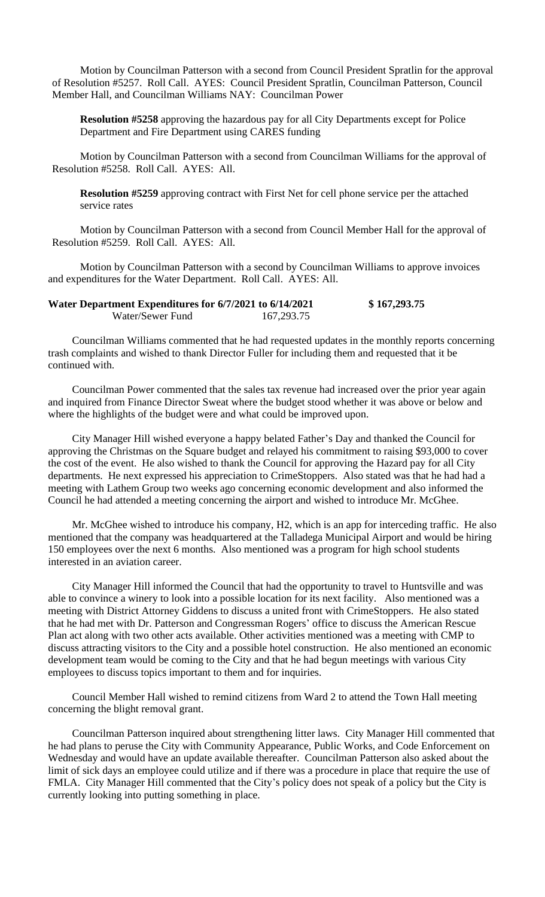Motion by Councilman Patterson with a second from Council President Spratlin for the approval of Resolution #5257. Roll Call. AYES: Council President Spratlin, Councilman Patterson, Council Member Hall, and Councilman Williams NAY: Councilman Power

**Resolution #5258** approving the hazardous pay for all City Departments except for Police Department and Fire Department using CARES funding

Motion by Councilman Patterson with a second from Councilman Williams for the approval of Resolution #5258. Roll Call. AYES: All.

**Resolution #5259** approving contract with First Net for cell phone service per the attached service rates

Motion by Councilman Patterson with a second from Council Member Hall for the approval of Resolution #5259. Roll Call. AYES: All.

Motion by Councilman Patterson with a second by Councilman Williams to approve invoices and expenditures for the Water Department. Roll Call. AYES: All.

| Water Department Expenditures for 6/7/2021 to 6/14/2021 |              | \$167,293.75 |
|---------------------------------------------------------|--------------|--------------|
| Water/Sewer Fund                                        | 167, 293. 75 |              |

Councilman Williams commented that he had requested updates in the monthly reports concerning trash complaints and wished to thank Director Fuller for including them and requested that it be continued with.

Councilman Power commented that the sales tax revenue had increased over the prior year again and inquired from Finance Director Sweat where the budget stood whether it was above or below and where the highlights of the budget were and what could be improved upon.

City Manager Hill wished everyone a happy belated Father's Day and thanked the Council for approving the Christmas on the Square budget and relayed his commitment to raising \$93,000 to cover the cost of the event. He also wished to thank the Council for approving the Hazard pay for all City departments. He next expressed his appreciation to CrimeStoppers. Also stated was that he had had a meeting with Lathem Group two weeks ago concerning economic development and also informed the Council he had attended a meeting concerning the airport and wished to introduce Mr. McGhee.

Mr. McGhee wished to introduce his company, H2, which is an app for interceding traffic. He also mentioned that the company was headquartered at the Talladega Municipal Airport and would be hiring 150 employees over the next 6 months. Also mentioned was a program for high school students interested in an aviation career.

City Manager Hill informed the Council that had the opportunity to travel to Huntsville and was able to convince a winery to look into a possible location for its next facility. Also mentioned was a meeting with District Attorney Giddens to discuss a united front with CrimeStoppers. He also stated that he had met with Dr. Patterson and Congressman Rogers' office to discuss the American Rescue Plan act along with two other acts available. Other activities mentioned was a meeting with CMP to discuss attracting visitors to the City and a possible hotel construction. He also mentioned an economic development team would be coming to the City and that he had begun meetings with various City employees to discuss topics important to them and for inquiries.

Council Member Hall wished to remind citizens from Ward 2 to attend the Town Hall meeting concerning the blight removal grant.

Councilman Patterson inquired about strengthening litter laws. City Manager Hill commented that he had plans to peruse the City with Community Appearance, Public Works, and Code Enforcement on Wednesday and would have an update available thereafter. Councilman Patterson also asked about the limit of sick days an employee could utilize and if there was a procedure in place that require the use of FMLA. City Manager Hill commented that the City's policy does not speak of a policy but the City is currently looking into putting something in place.